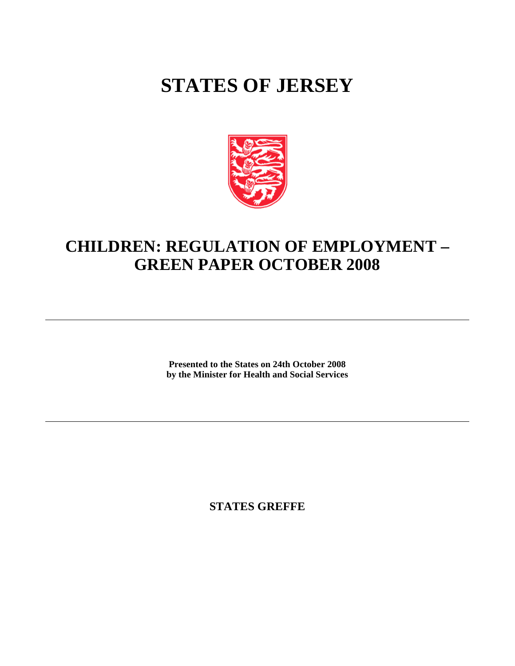# **STATES OF JERSEY**



## **CHILDREN: REGULATION OF EMPLOYMENT – GREEN PAPER OCTOBER 2008**

**Presented to the States on 24th October 2008 by the Minister for Health and Social Services**

**STATES GREFFE**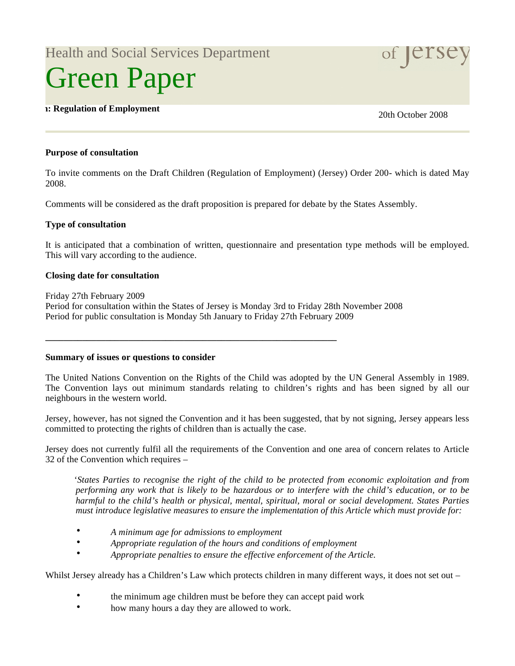Health and Social Services Department

# Green Paper

## **Children: Regulation of Employment** 20th October 2008

#### **Purpose of consultation**

To invite comments on the Draft Children (Regulation of Employment) (Jersey) Order 200- which is dated May 2008.

Comments will be considered as the draft proposition is prepared for debate by the States Assembly.

#### **Type of consultation**

It is anticipated that a combination of written, questionnaire and presentation type methods will be employed. This will vary according to the audience.

#### **Closing date for consultation**

Friday 27th February 2009 Period for consultation within the States of Jersey is Monday 3rd to Friday 28th November 2008 Period for public consultation is Monday 5th January to Friday 27th February 2009

**\_\_\_\_\_\_\_\_\_\_\_\_\_\_\_\_\_\_\_\_\_\_\_\_\_\_\_\_\_\_\_\_\_\_\_\_\_\_\_\_\_\_\_\_\_\_\_\_\_\_\_\_\_\_\_\_\_\_\_\_\_\_\_**

**Summary of issues or questions to consider**

The United Nations Convention on the Rights of the Child was adopted by the UN General Assembly in 1989. The Convention lays out minimum standards relating to children's rights and has been signed by all our neighbours in the western world.

Jersey, however, has not signed the Convention and it has been suggested, that by not signing, Jersey appears less committed to protecting the rights of children than is actually the case.

Jersey does not currently fulfil all the requirements of the Convention and one area of concern relates to Article 32 of the Convention which requires –

 '*States Parties to recognise the right of the child to be protected from economic exploitation and from performing any work that is likely to be hazardous or to interfere with the child's education, or to be harmful to the child's health or physical, mental, spiritual, moral or social development. States Parties must introduce legislative measures to ensure the implementation of this Article which must provide for:*

- *A minimum age for admissions to employment*
- *Appropriate regulation of the hours and conditions of employment*
- *Appropriate penalties to ensure the effective enforcement of the Article.*

Whilst Jersey already has a Children's Law which protects children in many different ways, it does not set out –

- the minimum age children must be before they can accept paid work
- how many hours a day they are allowed to work.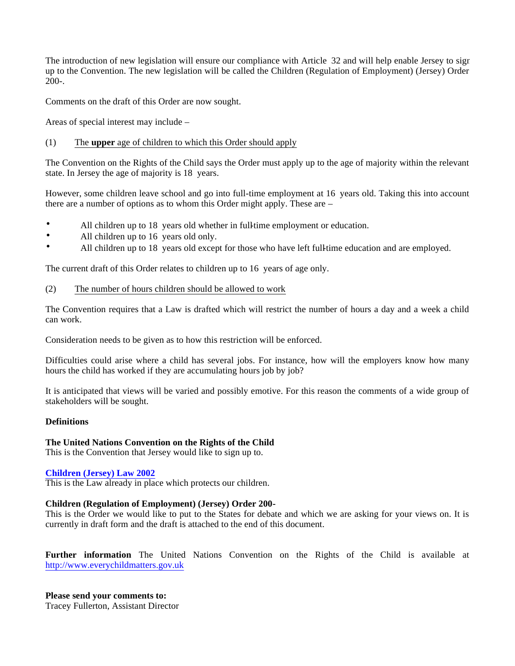The introduction of new legislation will ensure our compliance with Article 32 and will help enable Jersey to sign up to the Convention. The new legislation will be called the Children (Regulation of Employment) (Jersey) Order 200-.

Comments on the draft of this Order are now sought.

Areas of special interest may include –

#### (1) The **upper** age of children to which this Order should apply

The Convention on the Rights of the Child says the Order must apply up to the age of majority within the relevant state. In Jersey the age of majority is 18 years.

However, some children leave school and go into full-time employment at 16 years old. Taking this into account there are a number of options as to whom this Order might apply. These are –

- All children up to 18 years old whether in full-time employment or education.
- All children up to 16 years old only.
- All children up to 18 years old except for those who have left full-time education and are employed.

The current draft of this Order relates to children up to 16 years of age only.

#### (2) The number of hours children should be allowed to work

The Convention requires that a Law is drafted which will restrict the number of hours a day and a week a child can work.

Consideration needs to be given as to how this restriction will be enforced.

Difficulties could arise where a child has several jobs. For instance, how will the employers know how many hours the child has worked if they are accumulating hours job by job?

It is anticipated that views will be varied and possibly emotive. For this reason the comments of a wide group of stakeholders will be sought.

#### **Definitions**

#### **The United Nations Convention on the Rights of the Child**

This is the Convention that Jersey would like to sign up to.

#### **Children (Jersey) Law 2002**

This is the Law already in place which protects our children.

#### **Children (Regulation of Employment) (Jersey) Order 200-**

This is the Order we would like to put to the States for debate and which we are asking for your views on. It is currently in draft form and the draft is attached to the end of this document.

**Further information** The United Nations Convention on the Rights of the Child is available at <http://www.everychildmatters.gov.uk>

**Please send your comments to:** Tracey Fullerton, Assistant Director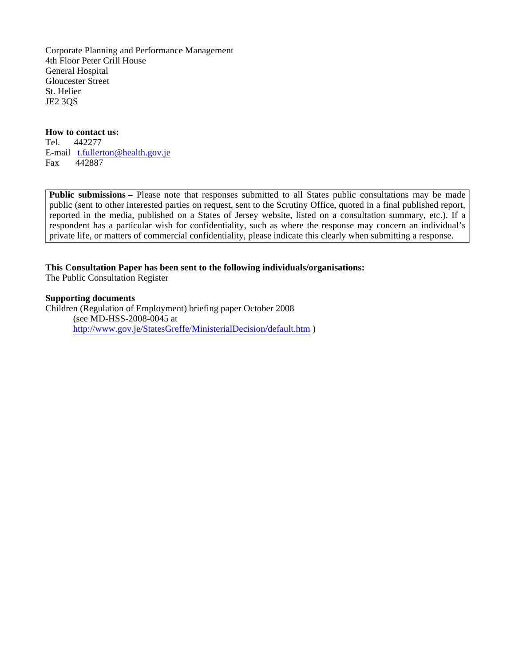Corporate Planning and Performance Management 4th Floor Peter Crill House General Hospital Gloucester Street St. Helier JE2 3QS

#### **How to contact us:**

Tel. 442277 E-mail t.[fullerton@health.gov.je](mailto:fullerton@health.gov.je) Fax 442887

**Public submissions –** Please note that responses submitted to all States public consultations may be made public (sent to other interested parties on request, sent to the Scrutiny Office, quoted in a final published report, reported in the media, published on a States of Jersey website, listed on a consultation summary, etc.). If a respondent has a particular wish for confidentiality, such as where the response may concern an individual's private life, or matters of commercial confidentiality, please indicate this clearly when submitting a response.

#### **This Consultation Paper has been sent to the following individuals/organisations:**

The Public Consultation Register

#### **Supporting documents**

Children (Regulation of Employment) briefing paper October 2008 (see MD-HSS-2008-0045 at <http://www.gov.je/StatesGreffe/MinisterialDecision/default.htm> )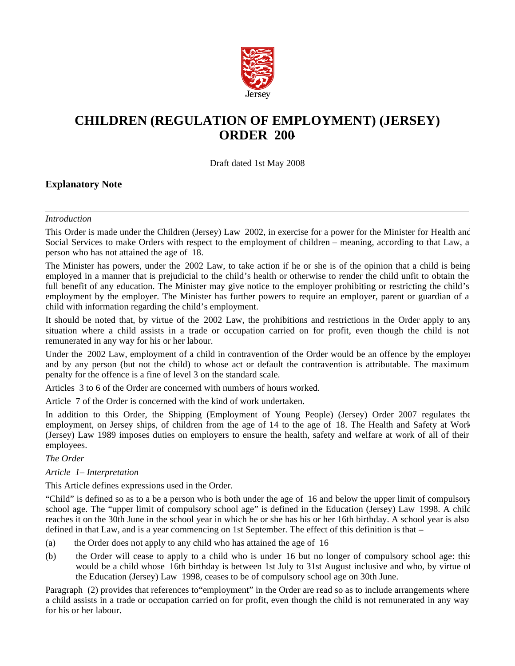

## **CHILDREN (REGULATION OF EMPLOYMENT) (JERSEY) ORDER 200-**

Draft dated 1st May 2008

#### **Explanatory Note**

#### *Introduction*

This Order is made under the Children (Jersey) Law 2002, in exercise for a power for the Minister for Health and Social Services to make Orders with respect to the employment of children – meaning, according to that Law, a person who has not attained the age of 18.

The Minister has powers, under the 2002 Law, to take action if he or she is of the opinion that a child is being employed in a manner that is prejudicial to the child's health or otherwise to render the child unfit to obtain the full benefit of any education. The Minister may give notice to the employer prohibiting or restricting the child's employment by the employer. The Minister has further powers to require an employer, parent or guardian of a child with information regarding the child's employment.

It should be noted that, by virtue of the 2002 Law, the prohibitions and restrictions in the Order apply to any situation where a child assists in a trade or occupation carried on for profit, even though the child is not remunerated in any way for his or her labour.

Under the 2002 Law, employment of a child in contravention of the Order would be an offence by the employer and by any person (but not the child) to whose act or default the contravention is attributable. The maximum penalty for the offence is a fine of level 3 on the standard scale.

Articles 3 to 6 of the Order are concerned with numbers of hours worked.

Article 7 of the Order is concerned with the kind of work undertaken.

In addition to this Order, the Shipping (Employment of Young People) (Jersey) Order 2007 regulates the employment, on Jersey ships, of children from the age of 14 to the age of 18. The Health and Safety at Work (Jersey) Law 1989 imposes duties on employers to ensure the health, safety and welfare at work of all of their employees.

#### *The Order*

*Article 1 – Interpretation*

This Article defines expressions used in the Order.

"Child" is defined so as to a be a person who is both under the age of 16 and below the upper limit of compulsory school age. The "upper limit of compulsory school age" is defined in the Education (Jersey) Law 1998. A child reaches it on the 30th June in the school year in which he or she has his or her 16th birthday. A school year is also defined in that Law, and is a year commencing on 1st September. The effect of this definition is that –

- (a) the Order does not apply to any child who has attained the age of 16
- (b) the Order will cease to apply to a child who is under 16 but no longer of compulsory school age: this would be a child whose 16th birthday is between 1st July to 31st August inclusive and who, by virtue of the Education (Jersey) Law 1998, ceases to be of compulsory school age on 30th June.

Paragraph (2) provides that references to "employment" in the Order are read so as to include arrangements where a child assists in a trade or occupation carried on for profit, even though the child is not remunerated in any way for his or her labour.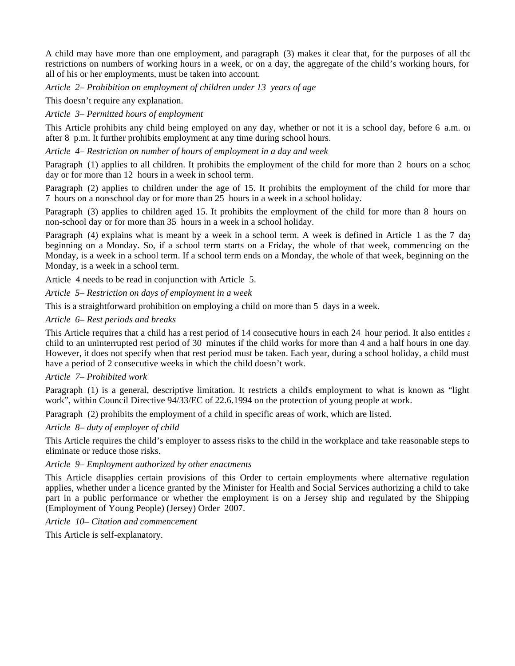A child may have more than one employment, and paragraph (3) makes it clear that, for the purposes of all the restrictions on numbers of working hours in a week, or on a day, the aggregate of the child's working hours, for all of his or her employments, must be taken into account.

*Article 2 – Prohibition on employment of children under 13 years of age*

This doesn't require any explanation.

*Article 3 – Permitted hours of employment*

This Article prohibits any child being employed on any day, whether or not it is a school day, before 6 a.m. or after 8 p.m. It further prohibits employment at any time during school hours.

*Article 4 – Restriction on number of hours of employment in a day and week*

Paragraph (1) applies to all children. It prohibits the employment of the child for more than 2 hours on a school day or for more than 12 hours in a week in school term.

Paragraph (2) applies to children under the age of 15. It prohibits the employment of the child for more than 7 hours on a non-school day or for more than 25 hours in a week in a school holiday.

Paragraph (3) applies to children aged 15. It prohibits the employment of the child for more than 8 hours on non-school day or for more than 35 hours in a week in a school holiday.

Paragraph (4) explains what is meant by a week in a school term. A week is defined in Article 1 as the 7 day beginning on a Monday. So, if a school term starts on a Friday, the whole of that week, commencing on the Monday, is a week in a school term. If a school term ends on a Monday, the whole of that week, beginning on the Monday, is a week in a school term.

Article 4 needs to be read in conjunction with Article 5.

*Article 5 – Restriction on days of employment in a week*

This is a straightforward prohibition on employing a child on more than 5 days in a week.

#### *Article 6 – Rest periods and breaks*

This Article requires that a child has a rest period of 14 consecutive hours in each 24 hour period. It also entitles  $\epsilon$ child to an uninterrupted rest period of 30 minutes if the child works for more than 4 and a half hours in one day. However, it does not specify when that rest period must be taken. Each year, during a school holiday, a child must have a period of 2 consecutive weeks in which the child doesn't work.

#### *Article 7 – Prohibited work*

Paragraph (1) is a general, descriptive limitation. It restricts a child's employment to what is known as "light work", within Council Directive 94/33/EC of 22.6.1994 on the protection of young people at work.

Paragraph (2) prohibits the employment of a child in specific areas of work, which are listed.

#### *Article 8 – duty of employer of child*

This Article requires the child's employer to assess risks to the child in the workplace and take reasonable steps to eliminate or reduce those risks.

#### *Article 9 – Employment authorized by other enactments*

This Article disapplies certain provisions of this Order to certain employments where alternative regulation applies, whether under a licence granted by the Minister for Health and Social Services authorizing a child to take part in a public performance or whether the employment is on a Jersey ship and regulated by the Shipping (Employment of Young People) (Jersey) Order 2007.

*Article 10 – Citation and commencement*

This Article is self-explanatory.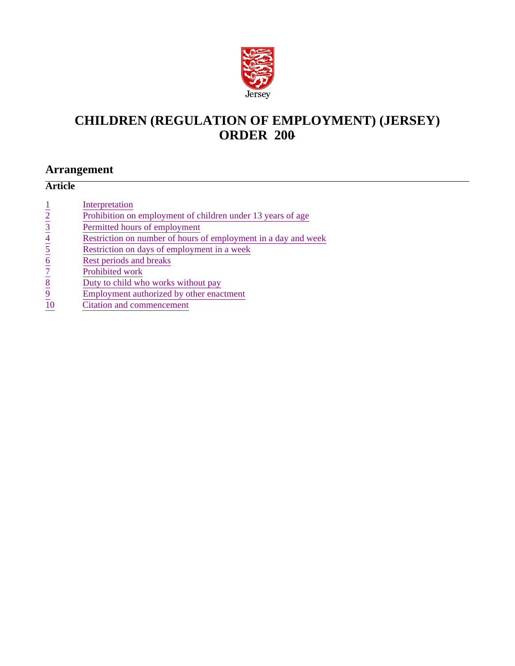

## **CHILDREN (REGULATION OF EMPLOYMENT) (JERSEY) ORDER 200-**

## **Arrangement**

## **Article**

|                            | Interpretation                                                 |
|----------------------------|----------------------------------------------------------------|
| $rac{1}{2}$<br>$rac{2}{3}$ | Prohibition on employment of children under 13 years of age    |
|                            | Permitted hours of employment                                  |
|                            | Restriction on number of hours of employment in a day and week |
| $\frac{4}{5}$              | Restriction on days of employment in a week                    |
| $\underline{6}$            | Rest periods and breaks                                        |
|                            | Prohibited work                                                |
| $\frac{7}{8}$              | Duty to child who works without pay                            |
| $\overline{9}$             | Employment authorized by other enactment                       |
|                            | Citation and commencement                                      |
|                            |                                                                |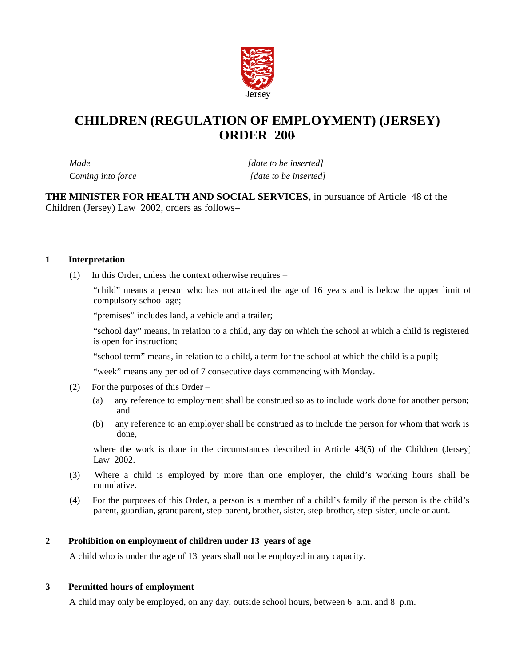

## **CHILDREN (REGULATION OF EMPLOYMENT) (JERSEY) ORDER 200-**

*Made [date to be inserted] Coming into force* [date to be inserted]

**THE MINISTER FOR HEALTH AND SOCIAL SERVICES**, in pursuance of Article 48 of the Children (Jersey) Law 2002, orders as follows –

#### **1 Interpretation**

(1) In this Order, unless the context otherwise requires –

"child" means a person who has not attained the age of 16 years and is below the upper limit of compulsory school age;

"premises" includes land, a vehicle and a trailer;

"school day" means, in relation to a child, any day on which the school at which a child is registered is open for instruction;

"school term" means, in relation to a child, a term for the school at which the child is a pupil;

"week" means any period of 7 consecutive days commencing with Monday.

- (2) For the purposes of this Order
	- (a) any reference to employment shall be construed so as to include work done for another person; and
	- (b) any reference to an employer shall be construed as to include the person for whom that work is done,

where the work is done in the circumstances described in Article 48(5) of the Children (Jersey) Law 2002.

- (3) Where a child is employed by more than one employer, the child's working hours shall be cumulative.
- (4) For the purposes of this Order, a person is a member of a child's family if the person is the child's parent, guardian, grandparent, step-parent, brother, sister, step-brother, step-sister, uncle or aunt.

#### **2 Prohibition on employment of children under 13 years of age**

A child who is under the age of 13 years shall not be employed in any capacity.

#### **3 Permitted hours of employment**

A child may only be employed, on any day, outside school hours, between 6 a.m. and 8 p.m.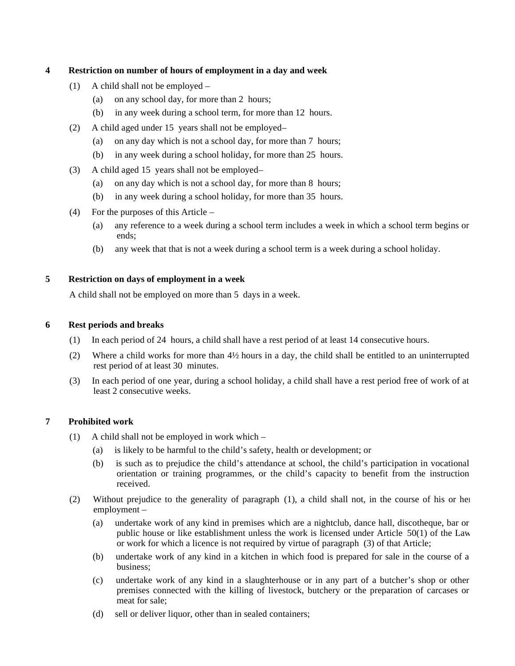#### **4 Restriction on number of hours of employment in a day and week**

- (1) A child shall not be employed
	- (a) on any school day, for more than 2 hours;
	- (b) in any week during a school term, for more than 12 hours.
- (2) A child aged under 15 years shall not be employed-
	- (a) on any day which is not a school day, for more than 7 hours;
	- (b) in any week during a school holiday, for more than 25 hours.
- (3) A child aged 15 years shall not be employed-
	- (a) on any day which is not a school day, for more than 8 hours;
	- (b) in any week during a school holiday, for more than 35 hours.
- (4) For the purposes of this Article
	- (a) any reference to a week during a school term includes a week in which a school term begins or ends;
	- (b) any week that that is not a week during a school term is a week during a school holiday.

#### **5 Restriction on days of employment in a week**

A child shall not be employed on more than 5 days in a week.

#### **6 Rest periods and breaks**

- (1) In each period of 24 hours, a child shall have a rest period of at least 14 consecutive hours.
- (2) Where a child works for more than 4½ hours in a day, the child shall be entitled to an uninterrupted rest period of at least 30 minutes.
- (3) In each period of one year, during a school holiday, a child shall have a rest period free of work of at least 2 consecutive weeks.

#### **7 Prohibited work**

- (1) A child shall not be employed in work which
	- (a) is likely to be harmful to the child's safety, health or development; or
	- (b) is such as to prejudice the child's attendance at school, the child's participation in vocational orientation or training programmes, or the child's capacity to benefit from the instruction received.
- (2) Without prejudice to the generality of paragraph (1), a child shall not, in the course of his or her employment –
	- (a) undertake work of any kind in premises which are a nightclub, dance hall, discotheque, bar or public house or like establishment unless the work is licensed under Article 50(1) of the Law or work for which a licence is not required by virtue of paragraph (3) of that Article;
	- (b) undertake work of any kind in a kitchen in which food is prepared for sale in the course of a business;
	- (c) undertake work of any kind in a slaughterhouse or in any part of a butcher's shop or other premises connected with the killing of livestock, butchery or the preparation of carcases or meat for sale;
	- (d) sell or deliver liquor, other than in sealed containers;